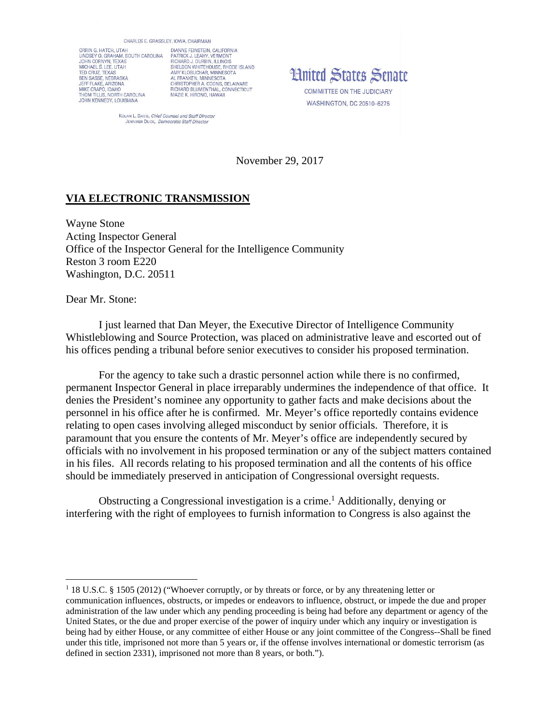ORRIN G. HATCH, UTAH LINDSEY O. GRAHAM, SOUTH CAROLINA<br>JOHN CORNYN, TEXAS MICHAEL Ś. LEE, UTAH MICHAEL S. LEE, OTAH<br>TED CRUZ, TEXAS<br>BEN SASSE, NEBRASKA<br>JEFF FLAKE, ARIZONA MIKE CRAPO, IDAHO<br>THOM TILLIS, NORTH CAROLINA JOHN KENNEDY, LOUISIANA

DIANNE FEINSTEIN, CALIFORNIA PATRICK J. LEAHY, VERMONT<br>RICHARD J. DURBIN, ILLINOIS SHELDON WHITEHOUSE, RHODE ISLAND AMY KLOBUCHAR, MINNESOTA<br>AMY KLOBUCHAR, MINNESOTA<br>AL FRANKEN, MINNESOTA AL FRANNEN, MINNESOTA<br>CHRISTOPHER A. COONS, DELAWARE<br>RICHARD BLUMENTHAL, CONNECTICUT<br>MAZIE K. HIRONO, HAWAII



KOLAN L. DAVIS, Chief Counsel and Staff Director JENNIFER DUCK, Democratic Staff Directo

November 29, 2017

## **VIA ELECTRONIC TRANSMISSION**

Wayne Stone Acting Inspector General Office of the Inspector General for the Intelligence Community Reston 3 room E220 Washington, D.C. 20511

Dear Mr. Stone:

 $\overline{a}$ 

I just learned that Dan Meyer, the Executive Director of Intelligence Community Whistleblowing and Source Protection, was placed on administrative leave and escorted out of his offices pending a tribunal before senior executives to consider his proposed termination.

For the agency to take such a drastic personnel action while there is no confirmed, permanent Inspector General in place irreparably undermines the independence of that office. It denies the President's nominee any opportunity to gather facts and make decisions about the personnel in his office after he is confirmed. Mr. Meyer's office reportedly contains evidence relating to open cases involving alleged misconduct by senior officials. Therefore, it is paramount that you ensure the contents of Mr. Meyer's office are independently secured by officials with no involvement in his proposed termination or any of the subject matters contained in his files. All records relating to his proposed termination and all the contents of his office should be immediately preserved in anticipation of Congressional oversight requests.

Obstructing a Congressional investigation is a crime.<sup>1</sup> Additionally, denying or interfering with the right of employees to furnish information to Congress is also against the

<sup>&</sup>lt;sup>1</sup> 18 U.S.C. § 1505 (2012) ("Whoever corruptly, or by threats or force, or by any threatening letter or communication influences, obstructs, or impedes or endeavors to influence, obstruct, or impede the due and proper administration of the law under which any pending proceeding is being had before any department or agency of the United States, or the due and proper exercise of the power of inquiry under which any inquiry or investigation is being had by either House, or any committee of either House or any joint committee of the Congress--Shall be fined under this title, imprisoned not more than 5 years or, if the offense involves international or domestic terrorism (as defined in section 2331), imprisoned not more than 8 years, or both.").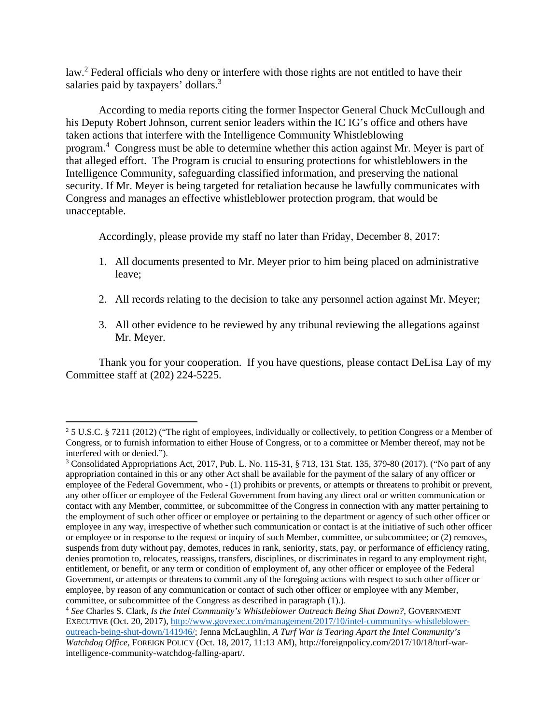law.<sup>2</sup> Federal officials who deny or interfere with those rights are not entitled to have their salaries paid by taxpayers' dollars.<sup>3</sup>

According to media reports citing the former Inspector General Chuck McCullough and his Deputy Robert Johnson, current senior leaders within the IC IG's office and others have taken actions that interfere with the Intelligence Community Whistleblowing program.<sup>4</sup> Congress must be able to determine whether this action against Mr. Meyer is part of that alleged effort. The Program is crucial to ensuring protections for whistleblowers in the Intelligence Community, safeguarding classified information, and preserving the national security. If Mr. Meyer is being targeted for retaliation because he lawfully communicates with Congress and manages an effective whistleblower protection program, that would be unacceptable.

Accordingly, please provide my staff no later than Friday, December 8, 2017:

- 1. All documents presented to Mr. Meyer prior to him being placed on administrative leave;
- 2. All records relating to the decision to take any personnel action against Mr. Meyer;
- 3. All other evidence to be reviewed by any tribunal reviewing the allegations against Mr. Meyer.

Thank you for your cooperation. If you have questions, please contact DeLisa Lay of my Committee staff at (202) 224-5225.

1

<sup>&</sup>lt;sup>2</sup> 5 U.S.C. § 7211 (2012) ("The right of employees, individually or collectively, to petition Congress or a Member of Congress, or to furnish information to either House of Congress, or to a committee or Member thereof, may not be interfered with or denied.").

<sup>&</sup>lt;sup>3</sup> Consolidated Appropriations Act, 2017, Pub. L. No. 115-31, § 713, 131 Stat. 135, 379-80 (2017). ("No part of any appropriation contained in this or any other Act shall be available for the payment of the salary of any officer or employee of the Federal Government, who - (1) prohibits or prevents, or attempts or threatens to prohibit or prevent, any other officer or employee of the Federal Government from having any direct oral or written communication or contact with any Member, committee, or subcommittee of the Congress in connection with any matter pertaining to the employment of such other officer or employee or pertaining to the department or agency of such other officer or employee in any way, irrespective of whether such communication or contact is at the initiative of such other officer or employee or in response to the request or inquiry of such Member, committee, or subcommittee; or (2) removes, suspends from duty without pay, demotes, reduces in rank, seniority, stats, pay, or performance of efficiency rating, denies promotion to, relocates, reassigns, transfers, disciplines, or discriminates in regard to any employment right, entitlement, or benefit, or any term or condition of employment of, any other officer or employee of the Federal Government, or attempts or threatens to commit any of the foregoing actions with respect to such other officer or employee, by reason of any communication or contact of such other officer or employee with any Member, committee, or subcommittee of the Congress as described in paragraph (1).).

<sup>4</sup> *See* Charles S. Clark, *Is the Intel Community's Whistleblower Outreach Being Shut Down?*, GOVERNMENT EXECUTIVE (Oct. 20, 2017), http://www.govexec.com/management/2017/10/intel-communitys-whistlebloweroutreach-being-shut-down/141946/; Jenna McLaughlin, *A Turf War is Tearing Apart the Intel Community's Watchdog Office*, FOREIGN POLICY (Oct. 18, 2017, 11:13 AM), http://foreignpolicy.com/2017/10/18/turf-warintelligence-community-watchdog-falling-apart/.